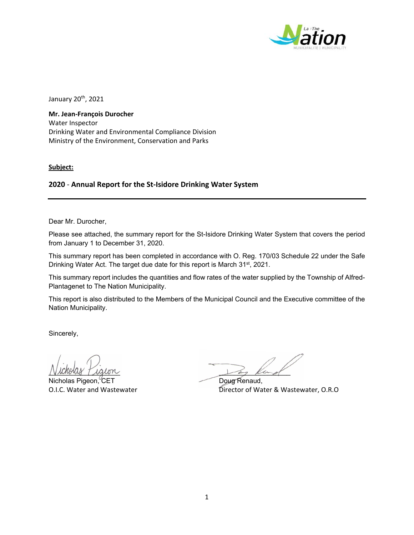

January 20<sup>th</sup>, 2021

**Mr. Jean‐François Durocher**  Water Inspector Drinking Water and Environmental Compliance Division Ministry of the Environment, Conservation and Parks

**Subject:**

# **2020** ‐ **Annual Report for the St‐Isidore Drinking Water System**

Dear Mr. Durocher,

Please see attached, the summary report for the St-Isidore Drinking Water System that covers the period from January 1 to December 31, 2020.

This summary report has been completed in accordance with O. Reg. 170/03 Schedule 22 under the Safe Drinking Water Act. The target due date for this report is March 31<sup>st</sup>, 2021.

This summary report includes the quantities and flow rates of the water supplied by the Township of Alfred-Plantagenet to The Nation Municipality.

This report is also distributed to the Members of the Municipal Council and the Executive committee of the Nation Municipality.

Sincerely,

Nicholas Pigeon, CET Doug Renaud,

 $N$ unovus I igion

O.I.C. Water and Wastewater **Director of Water & Wastewater, O.R.O**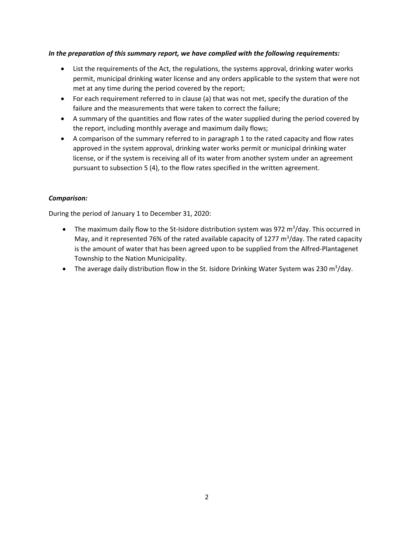## *In the preparation of this summary report, we have complied with the following requirements:*

- List the requirements of the Act, the regulations, the systems approval, drinking water works permit, municipal drinking water license and any orders applicable to the system that were not met at any time during the period covered by the report;
- For each requirement referred to in clause (a) that was not met, specify the duration of the failure and the measurements that were taken to correct the failure;
- A summary of the quantities and flow rates of the water supplied during the period covered by the report, including monthly average and maximum daily flows;
- A comparison of the summary referred to in paragraph 1 to the rated capacity and flow rates approved in the system approval, drinking water works permit or municipal drinking water license, or if the system is receiving all of its water from another system under an agreement pursuant to subsection 5 (4), to the flow rates specified in the written agreement.

## *Comparison:*

During the period of January 1 to December 31, 2020:

- The maximum daily flow to the St-Isidore distribution system was 972 m<sup>3</sup>/day. This occurred in May, and it represented 76% of the rated available capacity of 1277  $m^3$ /day. The rated capacity is the amount of water that has been agreed upon to be supplied from the Alfred‐Plantagenet Township to the Nation Municipality.
- The average daily distribution flow in the St. Isidore Drinking Water System was 230 m<sup>3</sup>/day.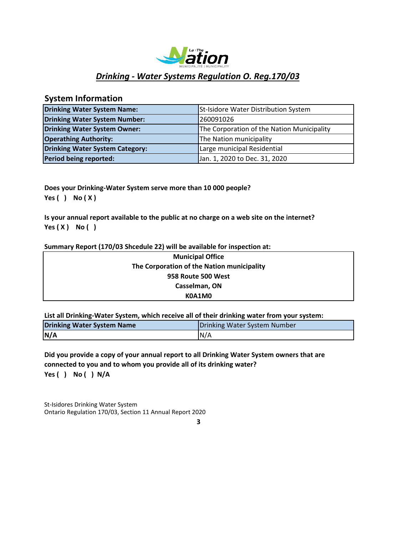

# *Drinking ‐ Water Systems Regulation O. Reg.170/03*

# **System Information**

| <b>Drinking Water System Name:</b>     | St-Isidore Water Distribution System       |
|----------------------------------------|--------------------------------------------|
| Drinking Water System Number:          | 260091026                                  |
| Drinking Water System Owner:           | The Corporation of the Nation Municipality |
| <b>Operathing Authority:</b>           | The Nation municipality                    |
| <b>Drinking Water System Category:</b> | Large municipal Residential                |
| Period being reported:                 | Jan. 1, 2020 to Dec. 31, 2020              |

**Does your Drinking‐Water System serve more than 10 000 people? Yes ( ) No ( X )**

**Is your annual report available to the public at no charge on a web site on the internet? Yes ( X ) No ( )**

#### **Summary Report (170/03 Shcedule 22) will be available for inspection at:**

| <b>Municipal Office</b>                    |  |
|--------------------------------------------|--|
| The Corporation of the Nation municipality |  |
| 958 Route 500 West                         |  |
| Casselman, ON                              |  |
| K0A1M0                                     |  |

**List all Drinking‐Water System, which receive all of their drinking water from your system:**

| <b>Drinking Water System Name</b> | Drinking Water System Number |  |  |
|-----------------------------------|------------------------------|--|--|
| N/A                               | IN/A                         |  |  |

**Yes ( ) No ( ) N/A Did you provide a copy of your annual report to all Drinking Water System owners that are connected to you and to whom you provide all of its drinking water?**

St-Isidores Drinking Water System Ontario Regulation 170/03, Section 11 Annual Report 2020

**3**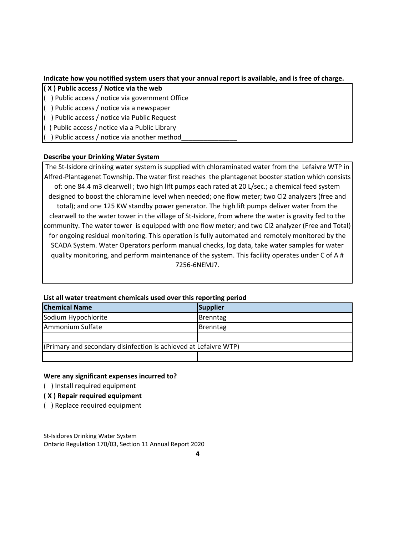### **Indicate how you notified system users that your annual report is available, and is free of charge.**

#### **( X ) Public access / Notice via the web**

- ( ) Public access / notice via government Office
- ( ) Public access / notice via a newspaper
- ( ) Public access / notice via Public Request
- ( ) Public access / notice via a Public Library
- ( ) Public access / notice via another method\_\_\_\_\_\_\_\_\_\_\_\_\_\_\_

## **Describe your Drinking Water System**

The St-Isidore drinking water system is supplied with chloraminated water from the Lefaivre WTP in Alfred‐Plantagenet Township. The water first reaches the plantagenet booster station which consists of: one 84.4 m3 clearwell ; two high lift pumps each rated at 20 L/sec.; a chemical feed system designed to boost the chloramine level when needed; one flow meter; two Cl2 analyzers (free and total); and one 125 KW standby power generator. The high lift pumps deliver water from the clearwell to the water tower in the village of St‐Isidore, from where the water is gravity fed to the community. The water tower is equipped with one flow meter; and two Cl2 analyzer (Free and Total) for ongoing residual monitoring. This operation is fully automated and remotely monitored by the SCADA System. Water Operators perform manual checks, log data, take water samples for water quality monitoring, and perform maintenance of the system. This facility operates under C of A # 7256‐6NEMJ7.

| <b>Chemical Name</b>                                             | Supplier |  |  |  |
|------------------------------------------------------------------|----------|--|--|--|
| Sodium Hypochlorite                                              | Brenntag |  |  |  |
| Ammonium Sulfate                                                 | Brenntag |  |  |  |
|                                                                  |          |  |  |  |
| (Primary and secondary disinfection is achieved at Lefaivre WTP) |          |  |  |  |
|                                                                  |          |  |  |  |

#### **List all water treatment chemicals used over this reporting period**

#### **Were any significant expenses incurred to?**

- ( ) Install required equipment
- **( X ) Repair required equipment**
- ( ) Replace required equipment

St-Isidores Drinking Water System Ontario Regulation 170/03, Section 11 Annual Report 2020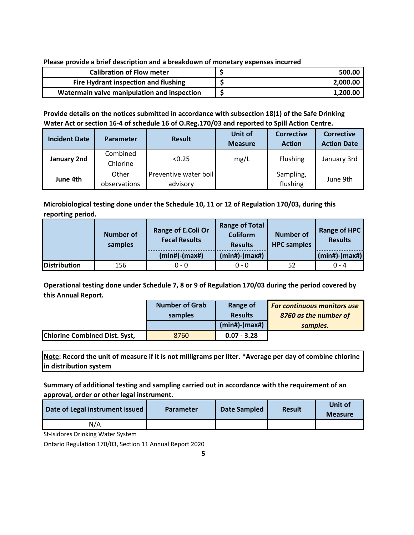**Please provide a brief description and a breakdown of monetary expenses incurred**

| <b>Calibration of Flow meter</b>            | 500.00   |
|---------------------------------------------|----------|
| Fire Hydrant inspection and flushing        | 2,000.00 |
| Watermain valve manipulation and inspection | 1,200.00 |

**Provide details on the notices submitted in accordance with subsection 18(1) of the Safe Drinking Water Act or section 16‐4 of schedule 16 of O.Reg.170/03 and reported to Spill Action Centre.**

| <b>Incident Date</b> | <b>Parameter</b>      | <b>Result</b>                     | Unit of<br><b>Measure</b> | <b>Corrective</b><br><b>Action</b> | <b>Corrective</b><br><b>Action Date</b> |
|----------------------|-----------------------|-----------------------------------|---------------------------|------------------------------------|-----------------------------------------|
| January 2nd          | Combined<br>Chlorine  | < 0.25                            | mg/L                      | <b>Flushing</b>                    | January 3rd                             |
| June 4th             | Other<br>observations | Preventive water boil<br>advisory |                           | Sampling,<br>flushing              | June 9th                                |

**Microbiological testing done under the Schedule 10, 11 or 12 of Regulation 170/03, during this reporting period.**

|              | <b>Number of</b><br>samples | Range of E.Coli Or<br><b>Fecal Results</b> | <b>Range of Total</b><br><b>Coliform</b><br><b>Results</b> | <b>Number of</b><br><b>HPC</b> samples | <b>Range of HPC</b><br><b>Results</b> |
|--------------|-----------------------------|--------------------------------------------|------------------------------------------------------------|----------------------------------------|---------------------------------------|
|              |                             | (min#)-(max#)                              | $(min#)$ - $(max#)$                                        |                                        | $(min#)$ - $(max#)$                   |
| Distribution | 156                         | $0 - 0$                                    | $0 - 0$                                                    | 52                                     | $0 - 4$                               |

**Operational testing done under Schedule 7, 8 or 9 of Regulation 170/03 during the period covered by this Annual Report.**

|                                      | <b>Number of Grab</b> | Range of            | <b>For continuous monitors use</b> |
|--------------------------------------|-----------------------|---------------------|------------------------------------|
|                                      | samples               | <b>Results</b>      | 8760 as the number of              |
|                                      |                       | $(min#)$ - $(max#)$ | samples.                           |
| <b>Chlorine Combined Dist. Syst,</b> | 8760                  | $0.07 - 3.28$       |                                    |

**Note: Record the unit of measure if it is not milligrams per liter. \*Average per day of combine chlorine in distribution system**

**Summary of additional testing and sampling carried out in accordance with the requirement of an approval, order or other legal instrument.**

| Date of Legal instrument issued | <b>Parameter</b> | Date Sampled | <b>Result</b> | Unit of<br><b>Measure</b> |
|---------------------------------|------------------|--------------|---------------|---------------------------|
| N/A                             |                  |              |               |                           |

St-Isidores Drinking Water System

Ontario Regulation 170/03, Section 11 Annual Report 2020